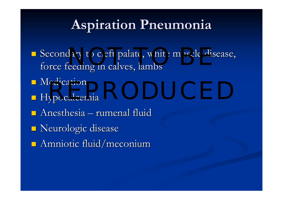### **Aspiration Pneumonia Aspiration Pneumonia**

- Secondary to cleft palate, white muscle disease, force feeding in calves, lambs
- $\blacksquare$  Medication
- $\blacksquare$  Hypocalcemia edication<br>vocalcemia
- $\Box$  Anesthesia rumenal fluid
- **Neurologic disease**
- $\blacksquare$  Amniotic fluid/meconium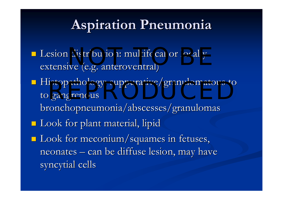### **Aspiration Pneumonia Aspiration Pneumonia**

- **Lesion distribution: multifocal or locally** extensive (e.g. anteroventral)
- $\blacksquare$  Histopathology: suppurative/granulomatous to to gangrenous bronchopneumonia/abscesses/granulomas stopathology: suppurative/granuiomatous to<br>gangrenous
- $\blacksquare$  Look for plant material, lipid
- $\blacksquare$  Look for meconium/squames in fetuses, neonates – – can be diffuse lesion, may have syncytial cells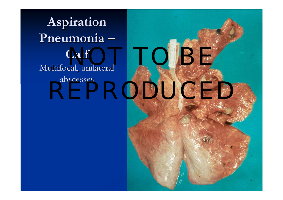**Aspiration Pneumonia Pneumonia Calf** Multifocal, unilateral abscesses

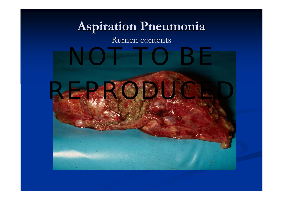#### **Aspiration Pneumonia Aspiration Pneumonia** Rumen contents

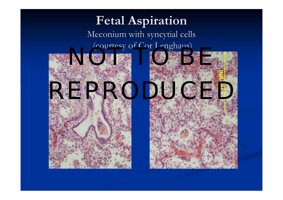#### **Fetal Aspiration Fetal Aspiration** Meconium with syncytial cells (courtesy of Cor Lenghaus)



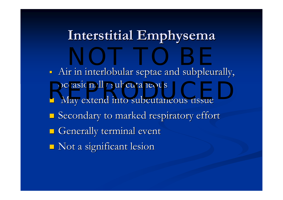## **Interstitial Emphysema Interstitial Emphysema**

П - Air in interlobular septae and subpleurally, occasionally subcutaneous  $\blacksquare$  May extend into subcutaneous tissue  $\blacksquare$  Secondary to marked respiratory effort  $\blacksquare$  Generally terminal event  $\blacksquare$  Not a significant lesion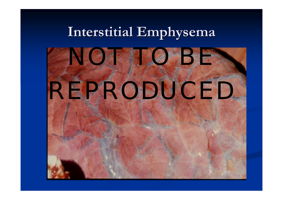# **Interstitial Emphysema Interstitial Emphysema**

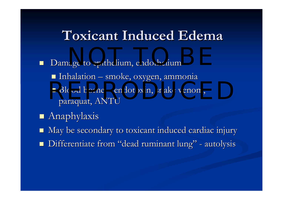#### **Toxicant Induced Edema Toxicant Induced Edema**

- $\Box$  Damage to epithelium, endothelium Damage to epithelium, endothelium  $\blacksquare$  Inhalation  $\blacksquare$ – smoke, oxygen, ammonia  $\blacksquare$  Blood borne – endotoxin, snake venom, paraquat, ANTU  $\alpha$  are to epithelium, endothelium Blood borne – endotoxin, snake venom,
- **Anaphylaxis**
- $\Box$ May be secondary to toxicant induced cardiac injury
- T. ■ Differentiate from "dead ruminant lung" -- autolysis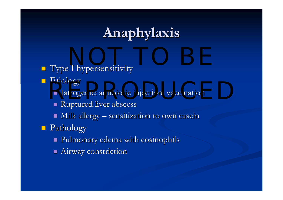## **Anaphylaxis Anaphylaxis**

- **Type I hypersensitivity** NOT TO BE A CONTRACTED ON A SERVICE OF THE SERVICE OF THE SERVICE OF THE SERVICE OF THE SERVICE OF THE SERVICE<br>NOTE: THE SERVICE OF THE SERVICE OF THE SERVICE OF THE SERVICE OF THE SERVICE OF THE SERVICE OF THE SERVICE OF<br>
- **Etiology** 
	- Luology<br>I Iatrogenic: antibiotic injection, vaccination
		- Ruptured liver abscess
		- $\blacksquare$  Milk allergy  $\blacksquare$ – sensitization to own casein

**Pathology** 

- Pulmonary edema with eosinophils Pulmonary edema with eosinophils
- $\blacksquare$  Airway constriction